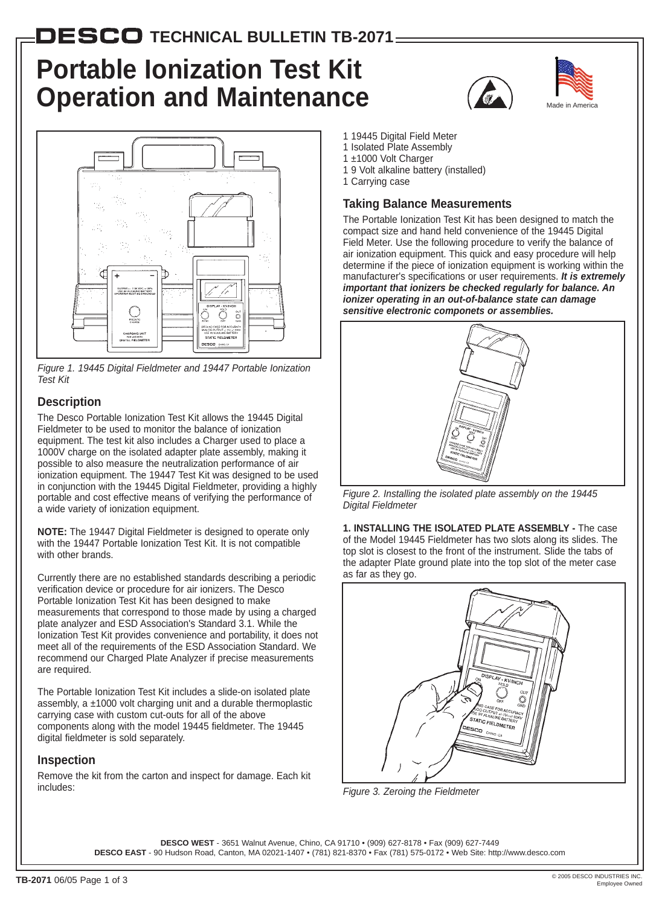## $\mathbf{DESCO}$  TECHNICAL BULLETIN TB-2071 $\_$

# **Portable Ionization Test Kit Operation and Maintenance**



*Figure 1. 19445 Digital Fieldmeter and 19447 Portable Ionization Test Kit*

## **Description**

The Desco Portable Ionization Test Kit allows the 19445 Digital Fieldmeter to be used to monitor the balance of ionization equipment. The test kit also includes a Charger used to place a 1000V charge on the isolated adapter plate assembly, making it possible to also measure the neutralization performance of air ionization equipment. The 19447 Test Kit was designed to be used in conjunction with the 19445 Digital Fieldmeter, providing a highly portable and cost effective means of verifying the performance of a wide variety of ionization equipment.

**NOTE:** The 19447 Digital Fieldmeter is designed to operate only with the 19447 Portable Ionization Test Kit. It is not compatible with other brands.

Currently there are no established standards describing a periodic verification device or procedure for air ionizers. The Desco Portable Ionization Test Kit has been designed to make measurements that correspond to those made by using a charged plate analyzer and ESD Association's Standard 3.1. While the Ionization Test Kit provides convenience and portability, it does not meet all of the requirements of the ESD Association Standard. We recommend our Charged Plate Analyzer if precise measurements are required.

The Portable Ionization Test Kit includes a slide-on isolated plate assembly, a ±1000 volt charging unit and a durable thermoplastic carrying case with custom cut-outs for all of the above components along with the model 19445 fieldmeter. The 19445 digital fieldmeter is sold separately.

## **Inspection**

Remove the kit from the carton and inspect for damage. Each kit includes:





- 1 19445 Digital Field Meter
- 1 Isolated Plate Assembly
- 1 ±1000 Volt Charger
- 1 9 Volt alkaline battery (installed)
- 1 Carrying case

## **Taking Balance Measurements**

The Portable Ionization Test Kit has been designed to match the compact size and hand held convenience of the 19445 Digital Field Meter. Use the following procedure to verify the balance of air ionization equipment. This quick and easy procedure will help determine if the piece of ionization equipment is working within the manufacturer's specifications or user requirements. *It is extremely important that ionizers be checked regularly for balance. An ionizer operating in an out-of-balance state can damage sensitive electronic componets or assemblies.*



*Figure 2. Installing the isolated plate assembly on the 19445 Digital Fieldmeter*

**1. INSTALLING THE ISOLATED PLATE ASSEMBLY -** The case of the Model 19445 Fieldmeter has two slots along its slides. The top slot is closest to the front of the instrument. Slide the tabs of the adapter Plate ground plate into the top slot of the meter case as far as they go.



*Figure 3. Zeroing the Fieldmeter*

**DESCO WEST** - 3651 Walnut Avenue, Chino, CA 91710 • (909) 627-8178 • Fax (909) 627-7449

**DESCO EAST** - 90 Hudson Road, Canton, MA 02021-1407 • (781) 821-8370 • Fax (781) 575-0172 • Web Site: http://www.desco.com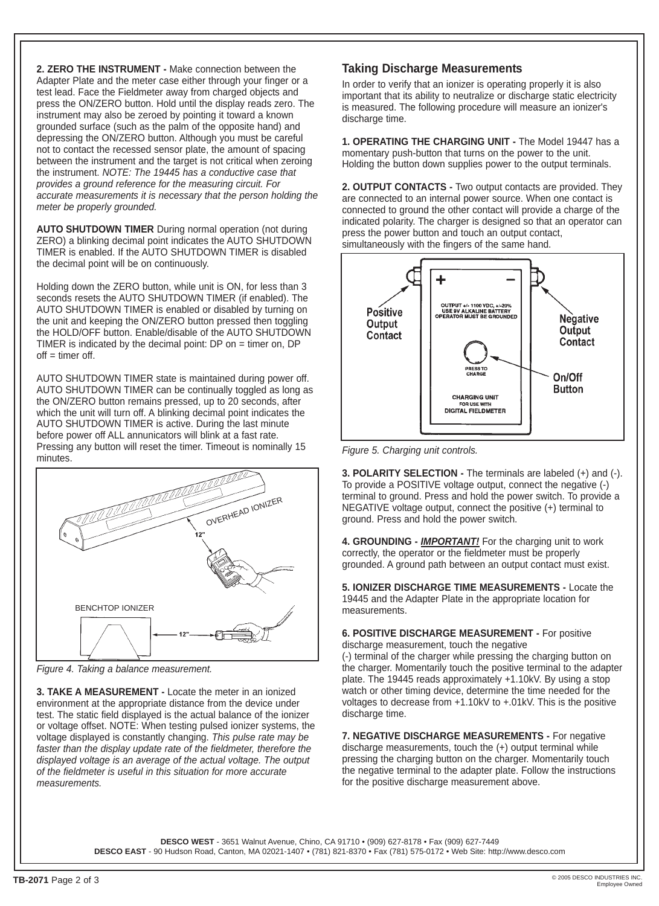**2. ZERO THE INSTRUMENT -** Make connection between the Adapter Plate and the meter case either through your finger or a test lead. Face the Fieldmeter away from charged objects and press the ON/ZERO button. Hold until the display reads zero. The instrument may also be zeroed by pointing it toward a known grounded surface (such as the palm of the opposite hand) and depressing the ON/ZERO button. Although you must be careful not to contact the recessed sensor plate, the amount of spacing between the instrument and the target is not critical when zeroing the instrument. *NOTE: The 19445 has a conductive case that provides a ground reference for the measuring circuit. For accurate measurements it is necessary that the person holding the meter be properly grounded.*

**AUTO SHUTDOWN TIMER** During normal operation (not during ZERO) a blinking decimal point indicates the AUTO SHUTDOWN TIMER is enabled. If the AUTO SHUTDOWN TIMER is disabled the decimal point will be on continuously.

Holding down the ZERO button, while unit is ON, for less than 3 seconds resets the AUTO SHUTDOWN TIMER (if enabled). The AUTO SHUTDOWN TIMER is enabled or disabled by turning on the unit and keeping the ON/ZERO button pressed then toggling the HOLD/OFF button. Enable/disable of the AUTO SHUTDOWN TIMER is indicated by the decimal point: DP on = timer on, DP  $of f = time of.$ 

AUTO SHUTDOWN TIMER state is maintained during power off. AUTO SHUTDOWN TIMER can be continually toggled as long as the ON/ZERO button remains pressed, up to 20 seconds, after which the unit will turn off. A blinking decimal point indicates the AUTO SHUTDOWN TIMER is active. During the last minute before power off ALL annunicators will blink at a fast rate. Pressing any button will reset the timer. Timeout is nominally 15 minutes.



*Figure 4. Taking a balance measurement.*

**3. TAKE A MEASUREMENT -** Locate the meter in an ionized environment at the appropriate distance from the device under test. The static field displayed is the actual balance of the ionizer or voltage offset. NOTE: When testing pulsed ionizer systems, the voltage displayed is constantly changing. *This pulse rate may be faster than the display update rate of the fieldmeter, therefore the displayed voltage is an average of the actual voltage. The output of the fieldmeter is useful in this situation for more accurate measurements.*

## **Taking Discharge Measurements**

In order to verify that an ionizer is operating properly it is also important that its ability to neutralize or discharge static electricity is measured. The following procedure will measure an ionizer's discharge time.

**1. OPERATING THE CHARGING UNIT -** The Model 19447 has a momentary push-button that turns on the power to the unit. Holding the button down supplies power to the output terminals.

**2. OUTPUT CONTACTS -** Two output contacts are provided. They are connected to an internal power source. When one contact is connected to ground the other contact will provide a charge of the indicated polarity. The charger is designed so that an operator can press the power button and touch an output contact, simultaneously with the fingers of the same hand.



*Figure 5. Charging unit controls.*

**3. POLARITY SELECTION -** The terminals are labeled (+) and (-). To provide a POSITIVE voltage output, connect the negative (-) terminal to ground. Press and hold the power switch. To provide a NEGATIVE voltage output, connect the positive (+) terminal to ground. Press and hold the power switch.

**4. GROUNDING -** *IMPORTANT!* For the charging unit to work correctly, the operator or the fieldmeter must be properly grounded. A ground path between an output contact must exist.

**5. IONIZER DISCHARGE TIME MEASUREMENTS -** Locate the 19445 and the Adapter Plate in the appropriate location for measurements.

#### **6. POSITIVE DISCHARGE MEASUREMENT -** For positive discharge measurement, touch the negative

(-) terminal of the charger while pressing the charging button on the charger. Momentarily touch the positive terminal to the adapter plate. The 19445 reads approximately +1.10kV. By using a stop watch or other timing device, determine the time needed for the voltages to decrease from +1.10kV to +.01kV. This is the positive discharge time.

**7. NEGATIVE DISCHARGE MEASUREMENTS -** For negative discharge measurements, touch the (+) output terminal while pressing the charging button on the charger. Momentarily touch the negative terminal to the adapter plate. Follow the instructions for the positive discharge measurement above.

**DESCO WEST** - 3651 Walnut Avenue, Chino, CA 91710 • (909) 627-8178 • Fax (909) 627-7449

**DESCO EAST** - 90 Hudson Road, Canton, MA 02021-1407 • (781) 821-8370 • Fax (781) 575-0172 • Web Site: http://www.desco.com